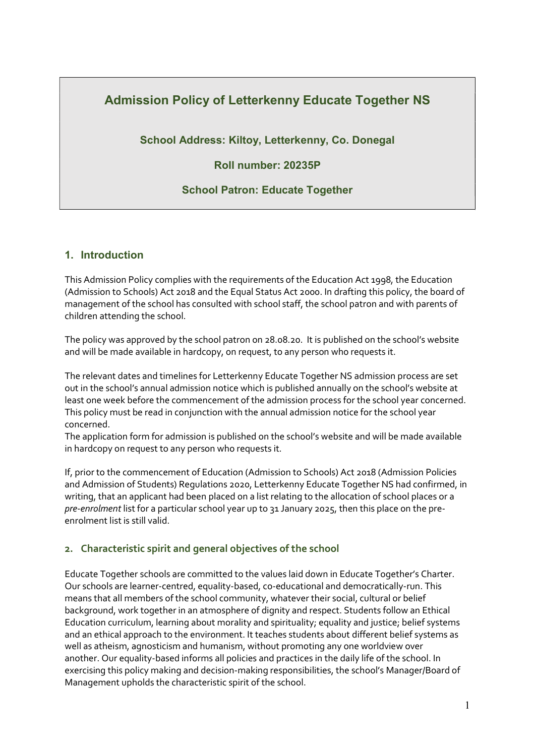# Admission Policy of Letterkenny Educate Together NS

School Address: Kiltoy, Letterkenny, Co. Donegal

# Roll number: 20235P

# School Patron: Educate Together

# 1. Introduction

This Admission Policy complies with the requirements of the Education Act 1998, the Education (Admission to Schools) Act 2018 and the Equal Status Act 2000. In drafting this policy, the board of management of the school has consulted with school staff, the school patron and with parents of children attending the school.

The policy was approved by the school patron on 28.08.20. It is published on the school's website and will be made available in hardcopy, on request, to any person who requests it.

The relevant dates and timelines for Letterkenny Educate Together NS admission process are set out in the school's annual admission notice which is published annually on the school's website at least one week before the commencement of the admission process for the school year concerned. This policy must be read in conjunction with the annual admission notice for the school year concerned.

The application form for admission is published on the school's website and will be made available in hardcopy on request to any person who requests it.

If, prior to the commencement of Education (Admission to Schools) Act 2018 (Admission Policies and Admission of Students) Regulations 2020, Letterkenny Educate Together NS had confirmed, in writing, that an applicant had been placed on a list relating to the allocation of school places or a pre-enrolment list for a particular school year up to 31 January 2025, then this place on the preenrolment list is still valid.

# 2. Characteristic spirit and general objectives of the school

Educate Together schools are committed to the values laid down in Educate Together's Charter. Our schools are learner-centred, equality-based, co-educational and democratically-run. This means that all members of the school community, whatever their social, cultural or belief background, work together in an atmosphere of dignity and respect. Students follow an Ethical Education curriculum, learning about morality and spirituality; equality and justice; belief systems and an ethical approach to the environment. It teaches students about different belief systems as well as atheism, agnosticism and humanism, without promoting any one worldview over another. Our equality-based informs all policies and practices in the daily life of the school. In exercising this policy making and decision-making responsibilities, the school's Manager/Board of Management upholds the characteristic spirit of the school.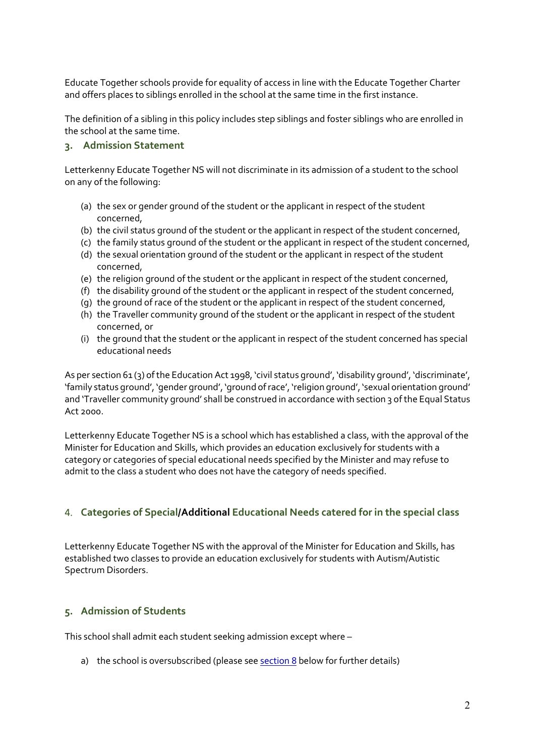Educate Together schools provide for equality of access in line with the Educate Together Charter and offers places to siblings enrolled in the school at the same time in the first instance.

The definition of a sibling in this policy includes step siblings and foster siblings who are enrolled in the school at the same time.

### 3. Admission Statement

Letterkenny Educate Together NS will not discriminate in its admission of a student to the school on any of the following:

- (a) the sex or gender ground of the student or the applicant in respect of the student concerned,
- (b) the civil status ground of the student or the applicant in respect of the student concerned,
- (c) the family status ground of the student or the applicant in respect of the student concerned,
- (d) the sexual orientation ground of the student or the applicant in respect of the student concerned,
- (e) the religion ground of the student or the applicant in respect of the student concerned,
- (f) the disability ground of the student or the applicant in respect of the student concerned,
- (g) the ground of race of the student or the applicant in respect of the student concerned,
- (h) the Traveller community ground of the student or the applicant in respect of the student concerned, or
- (i) the ground that the student or the applicant in respect of the student concerned has special educational needs

As per section 61 (3) of the Education Act 1998, 'civil status ground', 'disability ground', 'discriminate', 'family status ground', 'gender ground', 'ground of race', 'religion ground', 'sexual orientation ground' and 'Traveller community ground' shall be construed in accordance with section 3 of the Equal Status Act 2000.

Letterkenny Educate Together NS is a school which has established a class, with the approval of the Minister for Education and Skills, which provides an education exclusively for students with a category or categories of special educational needs specified by the Minister and may refuse to admit to the class a student who does not have the category of needs specified.

# 4. Categories of Special/Additional Educational Needs catered for in the special class

Letterkenny Educate Together NS with the approval of the Minister for Education and Skills, has established two classes to provide an education exclusively for students with Autism/Autistic Spectrum Disorders.

# 5. Admission of Students

This school shall admit each student seeking admission except where –

a) the school is oversubscribed (please see section 8 below for further details)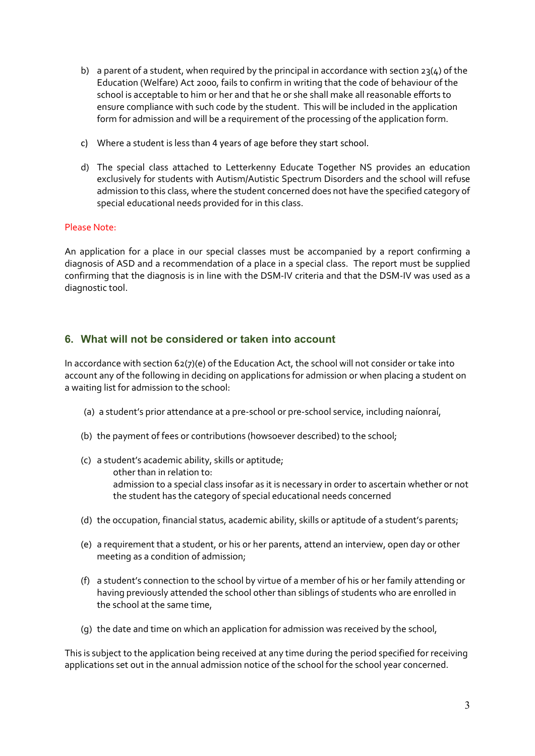- b) a parent of a student, when required by the principal in accordance with section  $23(4)$  of the Education (Welfare) Act 2000, fails to confirm in writing that the code of behaviour of the school is acceptable to him or her and that he or she shall make all reasonable efforts to ensure compliance with such code by the student. This will be included in the application form for admission and will be a requirement of the processing of the application form.
- c) Where a student is less than 4 years of age before they start school.
- d) The special class attached to Letterkenny Educate Together NS provides an education exclusively for students with Autism/Autistic Spectrum Disorders and the school will refuse admission to this class, where the student concerned does not have the specified category of special educational needs provided for in this class.

### Please Note:

An application for a place in our special classes must be accompanied by a report confirming a diagnosis of ASD and a recommendation of a place in a special class. The report must be supplied confirming that the diagnosis is in line with the DSM-IV criteria and that the DSM-IV was used as a diagnostic tool.

# 6. What will not be considered or taken into account

In accordance with section 62(7)(e) of the Education Act, the school will not consider or take into account any of the following in deciding on applications for admission or when placing a student on a waiting list for admission to the school:

- (a) a student's prior attendance at a pre-school or pre-school service, including naíonraí,
- (b) the payment of fees or contributions (howsoever described) to the school;
- (c) a student's academic ability, skills or aptitude; other than in relation to: admission to a special class insofar as it is necessary in order to ascertain whether or not the student has the category of special educational needs concerned
- (d) the occupation, financial status, academic ability, skills or aptitude of a student's parents;
- (e) a requirement that a student, or his or her parents, attend an interview, open day or other meeting as a condition of admission;
- (f) a student's connection to the school by virtue of a member of his or her family attending or having previously attended the school other than siblings of students who are enrolled in the school at the same time,
- (g) the date and time on which an application for admission was received by the school,

This is subject to the application being received at any time during the period specified for receiving applications set out in the annual admission notice of the school for the school year concerned.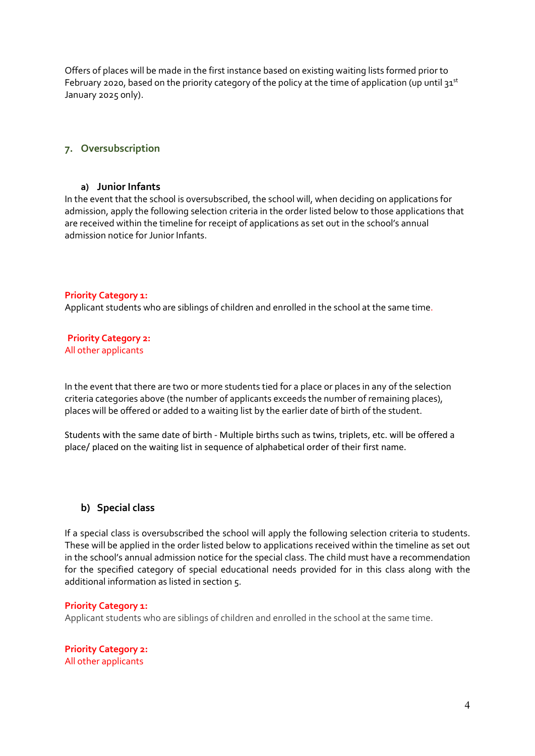Offers of places will be made in the first instance based on existing waiting lists formed prior to February 2020, based on the priority category of the policy at the time of application (up until  $31^{st}$ January 2025 only).

# 7. Oversubscription

#### a) Junior Infants

In the event that the school is oversubscribed, the school will, when deciding on applications for admission, apply the following selection criteria in the order listed below to those applications that are received within the timeline for receipt of applications as set out in the school's annual admission notice for Junior Infants.

### Priority Category 1:

Applicant students who are siblings of children and enrolled in the school at the same time.

Priority Category 2: All other applicants

In the event that there are two or more students tied for a place or places in any of the selection criteria categories above (the number of applicants exceeds the number of remaining places), places will be offered or added to a waiting list by the earlier date of birth of the student.

Students with the same date of birth - Multiple births such as twins, triplets, etc. will be offered a place/ placed on the waiting list in sequence of alphabetical order of their first name.

### b) Special class

If a special class is oversubscribed the school will apply the following selection criteria to students. These will be applied in the order listed below to applications received within the timeline as set out in the school's annual admission notice for the special class. The child must have a recommendation for the specified category of special educational needs provided for in this class along with the additional information as listed in section 5.

#### Priority Category 1:

Applicant students who are siblings of children and enrolled in the school at the same time.

Priority Category 2: All other applicants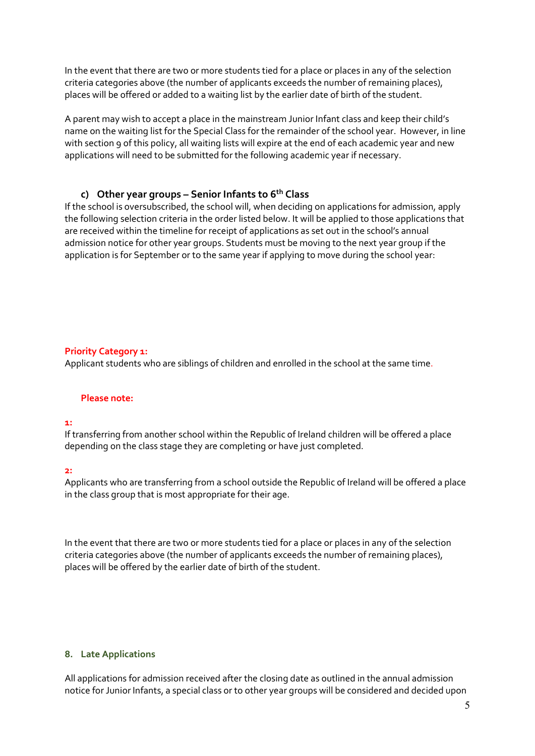In the event that there are two or more students tied for a place or places in any of the selection criteria categories above (the number of applicants exceeds the number of remaining places), places will be offered or added to a waiting list by the earlier date of birth of the student.

A parent may wish to accept a place in the mainstream Junior Infant class and keep their child's name on the waiting list for the Special Class for the remainder of the school year. However, in line with section 9 of this policy, all waiting lists will expire at the end of each academic year and new applications will need to be submitted for the following academic year if necessary.

# c) Other year groups – Senior Infants to  $6<sup>th</sup>$  Class

If the school is oversubscribed, the school will, when deciding on applications for admission, apply the following selection criteria in the order listed below. It will be applied to those applications that are received within the timeline for receipt of applications as set out in the school's annual admission notice for other year groups. Students must be moving to the next year group if the application is for September or to the same year if applying to move during the school year:

### Priority Category 1:

Applicant students who are siblings of children and enrolled in the school at the same time.

#### Please note:

#### 1:

If transferring from another school within the Republic of Ireland children will be offered a place depending on the class stage they are completing or have just completed.

#### 2:

Applicants who are transferring from a school outside the Republic of Ireland will be offered a place in the class group that is most appropriate for their age.

In the event that there are two or more students tied for a place or places in any of the selection criteria categories above (the number of applicants exceeds the number of remaining places), places will be offered by the earlier date of birth of the student.

#### 8. Late Applications

All applications for admission received after the closing date as outlined in the annual admission notice for Junior Infants, a special class or to other year groups will be considered and decided upon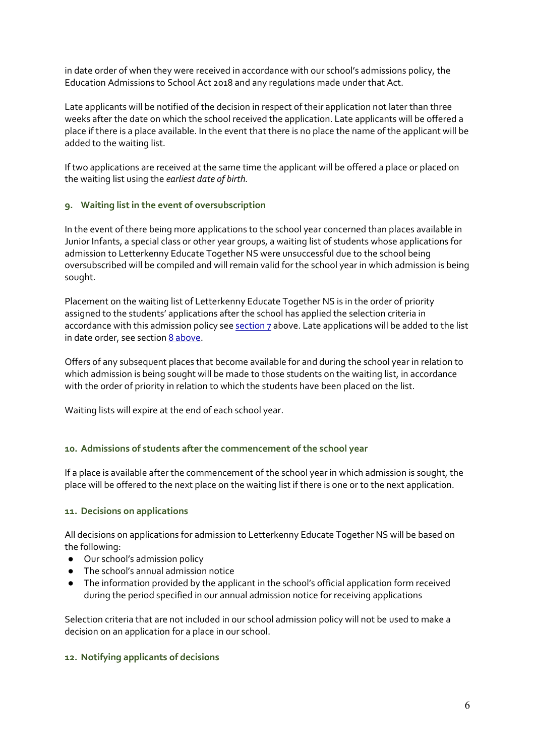in date order of when they were received in accordance with our school's admissions policy, the Education Admissions to School Act 2018 and any regulations made under that Act.

Late applicants will be notified of the decision in respect of their application not later than three weeks after the date on which the school received the application. Late applicants will be offered a place if there is a place available. In the event that there is no place the name of the applicant will be added to the waiting list.

If two applications are received at the same time the applicant will be offered a place or placed on the waiting list using the earliest date of birth.

### 9. Waiting list in the event of oversubscription

In the event of there being more applications to the school year concerned than places available in Junior Infants, a special class or other year groups, a waiting list of students whose applications for admission to Letterkenny Educate Together NS were unsuccessful due to the school being oversubscribed will be compiled and will remain valid for the school year in which admission is being sought.

Placement on the waiting list of Letterkenny Educate Together NS is in the order of priority assigned to the students' applications after the school has applied the selection criteria in accordance with this admission policy see section 7 above. Late applications will be added to the list in date order, see section 8 above.

Offers of any subsequent places that become available for and during the school year in relation to which admission is being sought will be made to those students on the waiting list, in accordance with the order of priority in relation to which the students have been placed on the list.

Waiting lists will expire at the end of each school year.

### 10. Admissions of students after the commencement of the school year

If a place is available after the commencement of the school year in which admission is sought, the place will be offered to the next place on the waiting list if there is one or to the next application.

### 11. Decisions on applications

All decisions on applications for admission to Letterkenny Educate Together NS will be based on the following:

- Our school's admission policy
- The school's annual admission notice
- The information provided by the applicant in the school's official application form received during the period specified in our annual admission notice for receiving applications

Selection criteria that are not included in our school admission policy will not be used to make a decision on an application for a place in our school.

### 12. Notifying applicants of decisions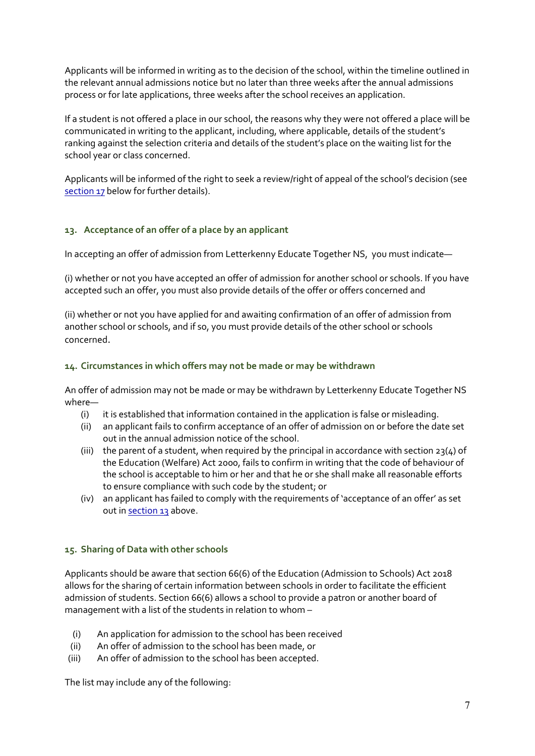Applicants will be informed in writing as to the decision of the school, within the timeline outlined in the relevant annual admissions notice but no later than three weeks after the annual admissions process or for late applications, three weeks after the school receives an application.

If a student is not offered a place in our school, the reasons why they were not offered a place will be communicated in writing to the applicant, including, where applicable, details of the student's ranking against the selection criteria and details of the student's place on the waiting list for the school year or class concerned.

Applicants will be informed of the right to seek a review/right of appeal of the school's decision (see section 17 below for further details).

# 13. Acceptance of an offer of a place by an applicant

In accepting an offer of admission from Letterkenny Educate Together NS, you must indicate—

(i) whether or not you have accepted an offer of admission for another school or schools. If you have accepted such an offer, you must also provide details of the offer or offers concerned and

(ii) whether or not you have applied for and awaiting confirmation of an offer of admission from another school or schools, and if so, you must provide details of the other school or schools concerned.

# 14. Circumstances in which offers may not be made or may be withdrawn

An offer of admission may not be made or may be withdrawn by Letterkenny Educate Together NS where—

- (i) it is established that information contained in the application is false or misleading.
- (ii) an applicant fails to confirm acceptance of an offer of admission on or before the date set out in the annual admission notice of the school.
- (iii) the parent of a student, when required by the principal in accordance with section  $23(4)$  of the Education (Welfare) Act 2000, fails to confirm in writing that the code of behaviour of the school is acceptable to him or her and that he or she shall make all reasonable efforts to ensure compliance with such code by the student; or
- (iv) an applicant has failed to comply with the requirements of 'acceptance of an offer' as set out in section 13 above.

### 15. Sharing of Data with other schools

Applicants should be aware that section 66(6) of the Education (Admission to Schools) Act 2018 allows for the sharing of certain information between schools in order to facilitate the efficient admission of students. Section 66(6) allows a school to provide a patron or another board of management with a list of the students in relation to whom –

- (i) An application for admission to the school has been received
- (ii) An offer of admission to the school has been made, or
- (iii) An offer of admission to the school has been accepted.

The list may include any of the following: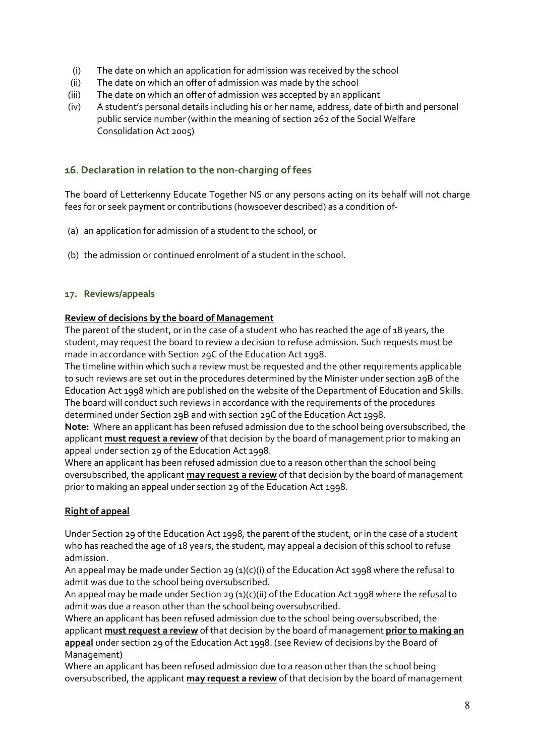- (i) The date on which an application for admission was received by the school
- (ii) The date on which an offer of admission was made by the school
- (iii) The date on which an offer of admission was accepted by an applicant
- (iv) A student's personal details including his or her name, address, date of birth and personal public service number (within the meaning of section 262 of the Social Welfare Consolidation Act 2005)

# 16.Declaration in relation to the non-charging of fees

The board of Letterkenny Educate Together NS or any persons acting on its behalf will not charge fees for or seek payment or contributions (howsoever described) as a condition of-

- (a) an application for admission of a student to the school, or
- (b) the admission or continued enrolment of a student in the school.

### 17. Reviews/appeals

# Review of decisions by the board of Management

The parent of the student, or in the case of a student who has reached the age of 18 years, the student, may request the board to review a decision to refuse admission. Such requests must be made in accordance with Section 29C of the Education Act 1998.

The timeline within which such a review must be requested and the other requirements applicable to such reviews are set out in the procedures determined by the Minister under section 29B of the Education Act 1998 which are published on the website of the Department of Education and Skills. The board will conduct such reviews in accordance with the requirements of the procedures determined under Section 29B and with section 29C of the Education Act 1998.

Note: Where an applicant has been refused admission due to the school being oversubscribed, the applicant must request a review of that decision by the board of management prior to making an appeal under section 29 of the Education Act 1998.

Where an applicant has been refused admission due to a reason other than the school being oversubscribed, the applicant may request a review of that decision by the board of management prior to making an appeal under section 29 of the Education Act 1998.

# Right of appeal

Under Section 29 of the Education Act 1998, the parent of the student, or in the case of a student who has reached the age of 18 years, the student, may appeal a decision of this school to refuse admission.

An appeal may be made under Section 29 (1)(c)(i) of the Education Act 1998 where the refusal to admit was due to the school being oversubscribed.

An appeal may be made under Section 29 (1)(c)(ii) of the Education Act 1998 where the refusal to admit was due a reason other than the school being oversubscribed.

Where an applicant has been refused admission due to the school being oversubscribed, the applicant must request a review of that decision by the board of management prior to making an appeal under section 29 of the Education Act 1998. (see Review of decisions by the Board of Management)

Where an applicant has been refused admission due to a reason other than the school being oversubscribed, the applicant may request a review of that decision by the board of management